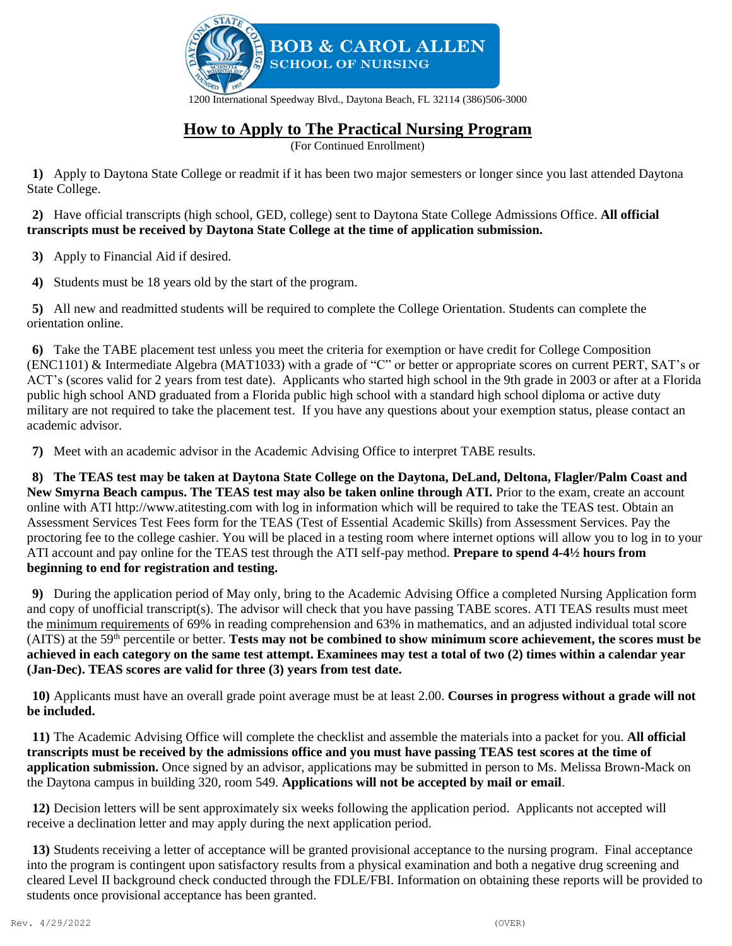

#### 1200 International Speedway Blvd., Daytona Beach, FL 32114 (386)506-3000

# **How to Apply to The Practical Nursing Program**

(For Continued Enrollment)

**1)** Apply to Daytona State College or readmit if it has been two major semesters or longer since you last attended Daytona State College.

**2)** Have official transcripts (high school, GED, college) sent to Daytona State College Admissions Office. **All official transcripts must be received by Daytona State College at the time of application submission.**

**3)** Apply to Financial Aid if desired.

**4)** Students must be 18 years old by the start of the program.

**5)** All new and readmitted students will be required to complete the College Orientation. Students can complete the orientation online.

**6)** Take the TABE placement test unless you meet the criteria for exemption or have credit for College Composition (ENC1101) & Intermediate Algebra (MAT1033) with a grade of "C" or better or appropriate scores on current PERT, SAT's or ACT's (scores valid for 2 years from test date). Applicants who started high school in the 9th grade in 2003 or after at a Florida public high school AND graduated from a Florida public high school with a standard high school diploma or active duty military are not required to take the placement test. If you have any questions about your exemption status, please contact an academic advisor.

**7)** Meet with an academic advisor in the Academic Advising Office to interpret TABE results.

**8) The TEAS test may be taken at Daytona State College on the Daytona, DeLand, Deltona, Flagler/Palm Coast and New Smyrna Beach campus. The TEAS test may also be taken online through ATI.** Prior to the exam, create an account online with ATI http://www.atitesting.com with log in information which will be required to take the TEAS test. Obtain an Assessment Services Test Fees form for the TEAS (Test of Essential Academic Skills) from Assessment Services. Pay the proctoring fee to the college cashier. You will be placed in a testing room where internet options will allow you to log in to your ATI account and pay online for the TEAS test through the ATI self-pay method. **Prepare to spend 4-4½ hours from beginning to end for registration and testing.**

**9)** During the application period of May only, bring to the Academic Advising Office a completed Nursing Application form and copy of unofficial transcript(s). The advisor will check that you have passing TABE scores. ATI TEAS results must meet the minimum requirements of 69% in reading comprehension and 63% in mathematics, and an adjusted individual total score (AITS) at the  $59<sup>th</sup>$  percentile or better. **Tests may not be combined to show minimum score achievement, the scores must be achieved in each category on the same test attempt. Examinees may test a total of two (2) times within a calendar year (Jan-Dec). TEAS scores are valid for three (3) years from test date.**

**10)** Applicants must have an overall grade point average must be at least 2.00. **Courses in progress without a grade will not be included.**

**11)** The Academic Advising Office will complete the checklist and assemble the materials into a packet for you. **All official transcripts must be received by the admissions office and you must have passing TEAS test scores at the time of application submission.** Once signed by an advisor, applications may be submitted in person to Ms. Melissa Brown-Mack on the Daytona campus in building 320, room 549. **Applications will not be accepted by mail or email**.

**12)** Decision letters will be sent approximately six weeks following the application period. Applicants not accepted will receive a declination letter and may apply during the next application period.

**13)** Students receiving a letter of acceptance will be granted provisional acceptance to the nursing program. Final acceptance into the program is contingent upon satisfactory results from a physical examination and both a negative drug screening and cleared Level II background check conducted through the FDLE/FBI. Information on obtaining these reports will be provided to students once provisional acceptance has been granted.